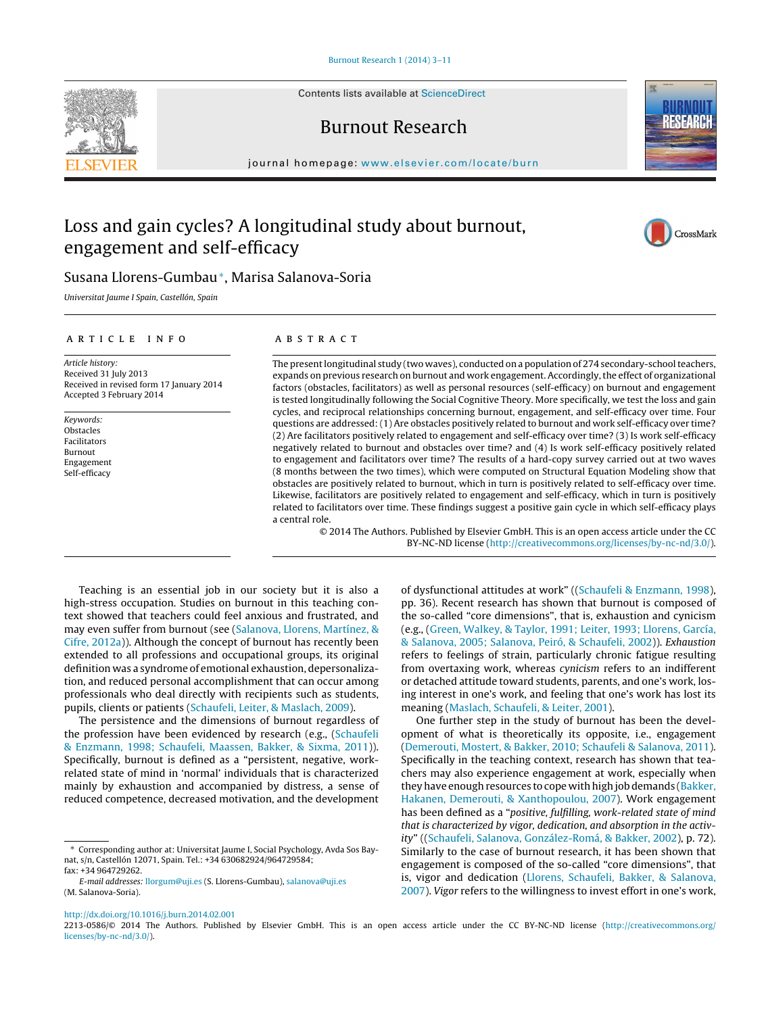Contents lists available at [ScienceDirect](http://www.sciencedirect.com/science/journal/aip/22130586)

## Burnout Research

iournal homepage: [www.elsevier.com/locate/burn](http://www.elsevier.com/locate/burn)

# Loss and gain cycles? A longitudinal study about burnout, engagement and self-efficacy

### Susana Llorens-Gumbau∗, Marisa Salanova-Soria

Universitat Jaume I Spain, Castellón, Spain

#### ARTICLE INFO

Article history: Received 31 July 2013 Received in revised form 17 January 2014 Accepted 3 February 2014

Keywords: Obstacles Facilitators Burnout Engagement Self-efficacy

#### a b s t r a c t

The present longitudinal study (two waves), conducted on a population of 274 secondary-school teachers, expands on previous research on burnout and work engagement. Accordingly, the effect of organizational factors (obstacles, facilitators) as well as personal resources (self-efficacy) on burnout and engagement is tested longitudinally following the Social Cognitive Theory. More specifically, we test the loss and gain cycles, and reciprocal relationships concerning burnout, engagement, and self-efficacy over time. Four questions are addressed: (1) Are obstacles positively related to burnout and work self-efficacy over time? (2) Are facilitators positively related to engagement and self-efficacy over time? (3) Is work self-efficacy negatively related to burnout and obstacles over time? and (4) Is work self-efficacy positively related to engagement and facilitators over time? The results of a hard-copy survey carried out at two waves (8 months between the two times), which were computed on Structural Equation Modeling show that obstacles are positively related to burnout, which in turn is positively related to self-efficacy over time. Likewise, facilitators are positively related to engagement and self-efficacy, which in turn is positively related to facilitators over time. These findings suggest a positive gain cycle in which self-efficacy plays a central role.

© 2014 The Authors. Published by Elsevier GmbH. This is an open access article under the CC BY-NC-ND license [\(http://creativecommons.org/licenses/by-nc-nd/3.0/](http://creativecommons.org/licenses/by-nc-nd/3.0/)).

Teaching is an essential job in our society but it is also a high-stress occupation. Studies on burnout in this teaching context showed that teachers could feel anxious and frustrated, and may even suffer from burnout (see [\(Salanova,](#page--1-0) [Llorens,](#page--1-0) [Martínez,](#page--1-0) [&](#page--1-0) [Cifre,](#page--1-0) [2012a\)\)](#page--1-0). Although the concept of burnout has recently been extended to all professions and occupational groups, its original definition was a syndrome of emotional exhaustion, depersonalization, and reduced personal accomplishment that can occur among professionals who deal directly with recipients such as students, pupils, clients or patients ([Schaufeli,](#page--1-0) [Leiter,](#page--1-0) [&](#page--1-0) [Maslach,](#page--1-0) [2009\).](#page--1-0)

The persistence and the dimensions of burnout regardless of the profession have been evidenced by research (e.g., ([Schaufeli](#page--1-0) [&](#page--1-0) [Enzmann,](#page--1-0) [1998;](#page--1-0) [Schaufeli,](#page--1-0) [Maassen,](#page--1-0) [Bakker,](#page--1-0) [&](#page--1-0) [Sixma,](#page--1-0) [2011\)\)](#page--1-0). Specifically, burnout is defined as a "persistent, negative, workrelated state of mind in 'normal' individuals that is characterized mainly by exhaustion and accompanied by distress, a sense of reduced competence, decreased motivation, and the development

opment of what is theoretically its opposite, i.e., engagement [\(Demerouti,](#page--1-0) [Mostert,](#page--1-0) [&](#page--1-0) [Bakker,](#page--1-0) [2010;](#page--1-0) [Schaufeli](#page--1-0) [&](#page--1-0) [Salanova,](#page--1-0) [2011\).](#page--1-0) Specifically in the teaching context, research has shown that teachers may also experience engagement at work, especially when they have enough resources to cope with high job demands ([Bakker,](#page--1-0) [Hakanen,](#page--1-0) [Demerouti,](#page--1-0) [&](#page--1-0) [Xanthopoulou,](#page--1-0) [2007\).](#page--1-0) Work engagement has been defined as a "positive, fulfilling, work-related state of mind that is characterized by vigor, dedication, and absorption in the activity" (([Schaufeli,](#page--1-0) [Salanova,](#page--1-0) [González-Romá,](#page--1-0) [&](#page--1-0) [Bakker,](#page--1-0) [2002\),](#page--1-0) p. 72). Similarly to the case of burnout research, it has been shown that engagement is composed of the so-called "core dimensions", that is, vigor and dedication ([Llorens,](#page--1-0) [Schaufeli,](#page--1-0) [Bakker,](#page--1-0) [&](#page--1-0) [Salanova,](#page--1-0) [2007\).](#page--1-0) Vigor refers to the willingness to invest effort in one's work,

[http://dx.doi.org/10.1016/j.burn.2014.02.001](dx.doi.org/10.1016/j.burn.2014.02.001)

2213-0586/© 2014 The Authors. Published by Elsevier GmbH. This is an open access article under the CC BY-NC-ND license ([http://creativecommons.org/](http://creativecommons.org/licenses/by-nc-nd/3.0/) [licenses/by-nc-nd/3.0/](http://creativecommons.org/licenses/by-nc-nd/3.0/)).







<sup>∗</sup> Corresponding author at: Universitat Jaume I, Social Psychology, Avda Sos Baynat, s/n, Castellón 12071, Spain. Tel.: +34 630682924/964729584;

fax: +34 964729262.

E-mail addresses: [llorgum@uji.es](mailto:llorgum@uji.es) (S. Llorens-Gumbau), [salanova@uji.es](mailto:salanova@uji.es) (M. Salanova-Soria).

of dysfunctional attitudes at work" ([\(Schaufeli](#page--1-0) [&](#page--1-0) [Enzmann,](#page--1-0) [1998\),](#page--1-0) pp. 36). Recent research has shown that burnout is composed of the so-called "core dimensions", that is, exhaustion and cynicism (e.g., [\(Green,](#page--1-0) [Walkey,](#page--1-0) [&](#page--1-0) [Taylor,](#page--1-0) [1991;](#page--1-0) [Leiter,](#page--1-0) [1993;](#page--1-0) [Llorens,](#page--1-0) [García,](#page--1-0) [&](#page--1-0) [Salanova,](#page--1-0) [2005;](#page--1-0) [Salanova,](#page--1-0) [Peiró,](#page--1-0) [&](#page--1-0) [Schaufeli,](#page--1-0) [2002\)\)](#page--1-0). Exhaustion refers to feelings of strain, particularly chronic fatigue resulting from overtaxing work, whereas cynicism refers to an indifferent or detached attitude toward students, parents, and one's work, losing interest in one's work, and feeling that one's work has lost its meaning ([Maslach,](#page--1-0) [Schaufeli,](#page--1-0) [&](#page--1-0) [Leiter,](#page--1-0) [2001\).](#page--1-0) One further step in the study of burnout has been the devel-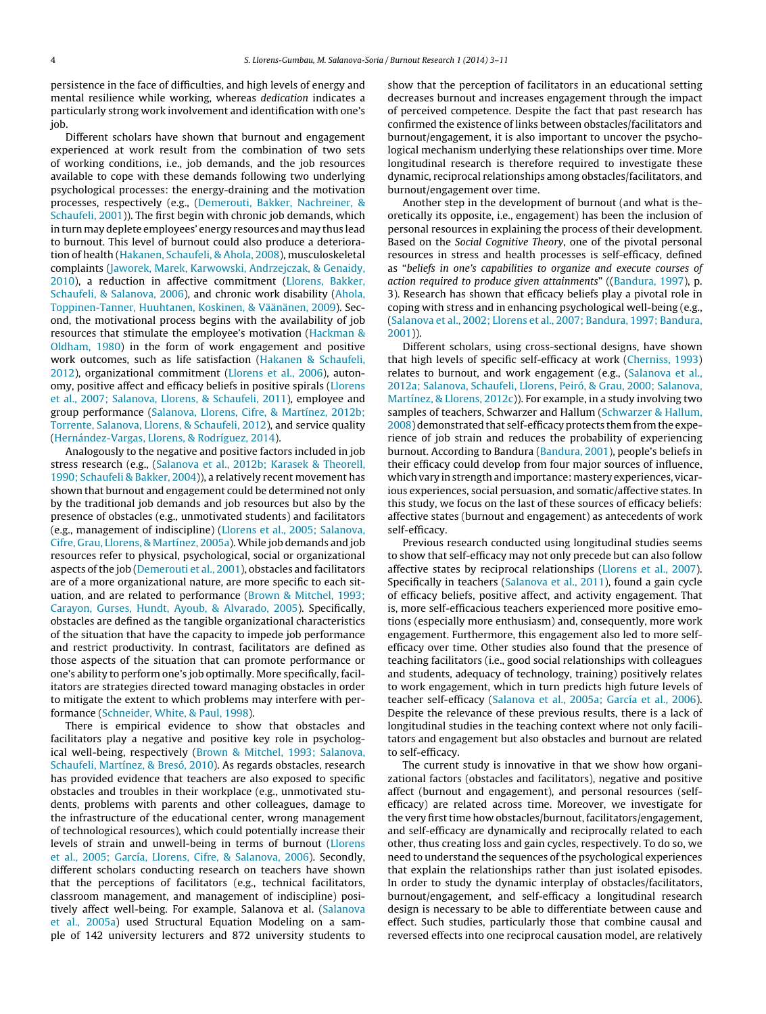persistence in the face of difficulties, and high levels of energy and mental resilience while working, whereas dedication indicates a particularly strong work involvement and identification with one's job.

Different scholars have shown that burnout and engagement experienced at work result from the combination of two sets of working conditions, i.e., job demands, and the job resources available to cope with these demands following two underlying psychological processes: the energy-draining and the motivation processes, respectively (e.g., ([Demerouti,](#page--1-0) [Bakker,](#page--1-0) [Nachreiner,](#page--1-0) [&](#page--1-0) [Schaufeli,](#page--1-0) [2001\)\)](#page--1-0). The first begin with chronic job demands, which in turn may deplete employees' energy resources and may thus lead to burnout. This level of burnout could also produce a deterioration of health [\(Hakanen,](#page--1-0) [Schaufeli,](#page--1-0) [&](#page--1-0) [Ahola,](#page--1-0) [2008\),](#page--1-0) musculoskeletal complaints ([Jaworek,](#page--1-0) [Marek,](#page--1-0) [Karwowski,](#page--1-0) [Andrzejczak,](#page--1-0) [&](#page--1-0) [Genaidy,](#page--1-0) [2010\),](#page--1-0) a reduction in affective commitment [\(Llorens,](#page--1-0) [Bakker,](#page--1-0) [Schaufeli,](#page--1-0) [&](#page--1-0) [Salanova,](#page--1-0) [2006\),](#page--1-0) and chronic work disability ([Ahola,](#page--1-0) [Toppinen-Tanner,](#page--1-0) [Huuhtanen,](#page--1-0) [Koskinen,](#page--1-0) [&](#page--1-0) [Väänänen,](#page--1-0) [2009\).](#page--1-0) Second, the motivational process begins with the availability of job resources that stimulate the employee's motivation ([Hackman](#page--1-0) [&](#page--1-0) [Oldham,](#page--1-0) [1980\)](#page--1-0) in the form of work engagement and positive work outcomes, such as life satisfaction [\(Hakanen](#page--1-0) [&](#page--1-0) [Schaufeli,](#page--1-0) [2012\),](#page--1-0) organizational commitment [\(Llorens](#page--1-0) et [al.,](#page--1-0) [2006\),](#page--1-0) autonomy, positive affect and efficacy beliefs in positive spirals ([Llorens](#page--1-0) et [al.,](#page--1-0) [2007;](#page--1-0) [Salanova,](#page--1-0) [Llorens,](#page--1-0) [&](#page--1-0) [Schaufeli,](#page--1-0) [2011\),](#page--1-0) employee and group performance ([Salanova,](#page--1-0) [Llorens,](#page--1-0) [Cifre,](#page--1-0) [&](#page--1-0) [Martínez,](#page--1-0) [2012b;](#page--1-0) [Torrente,](#page--1-0) [Salanova,](#page--1-0) [Llorens,](#page--1-0) [&](#page--1-0) [Schaufeli,](#page--1-0) [2012\),](#page--1-0) and service quality ([Hernández-Vargas,](#page--1-0) [Llorens,](#page--1-0) [&](#page--1-0) [Rodríguez,](#page--1-0) [2014\).](#page--1-0)

Analogously to the negative and positive factors included in job stress research (e.g., ([Salanova](#page--1-0) et [al.,](#page--1-0) [2012b;](#page--1-0) [Karasek](#page--1-0) [&](#page--1-0) [Theorell,](#page--1-0) [1990;](#page--1-0) [Schaufeli](#page--1-0) [&](#page--1-0) [Bakker,](#page--1-0) [2004\)\)](#page--1-0), a relatively recent movement has shown that burnout and engagement could be determined not only by the traditional job demands and job resources but also by the presence of obstacles (e.g., unmotivated students) and facilitators (e.g., management of indiscipline) ([Llorens](#page--1-0) et [al.,](#page--1-0) [2005;](#page--1-0) [Salanova,](#page--1-0) [Cifre,](#page--1-0) [Grau,](#page--1-0) [Llorens,](#page--1-0) [&](#page--1-0) [Martínez,](#page--1-0) [2005a\).](#page--1-0) While job demands and job resources refer to physical, psychological, social or organizational aspects of the job [\(Demerouti](#page--1-0) et [al.,](#page--1-0) [2001\),](#page--1-0) obstacles and facilitators are of a more organizational nature, are more specific to each situation, and are related to performance ([Brown](#page--1-0) [&](#page--1-0) [Mitchel,](#page--1-0) [1993;](#page--1-0) [Carayon,](#page--1-0) [Gurses,](#page--1-0) [Hundt,](#page--1-0) [Ayoub,](#page--1-0) [&](#page--1-0) [Alvarado,](#page--1-0) [2005\).](#page--1-0) Specifically, obstacles are defined as the tangible organizational characteristics of the situation that have the capacity to impede job performance and restrict productivity. In contrast, facilitators are defined as those aspects of the situation that can promote performance or one's ability to perform one's job optimally. More specifically, facilitators are strategies directed toward managing obstacles in order to mitigate the extent to which problems may interfere with performance [\(Schneider,](#page--1-0) [White,](#page--1-0) [&](#page--1-0) [Paul,](#page--1-0) [1998\).](#page--1-0)

There is empirical evidence to show that obstacles and facilitators play a negative and positive key role in psychological well-being, respectively ([Brown](#page--1-0) [&](#page--1-0) [Mitchel,](#page--1-0) [1993;](#page--1-0) [Salanova,](#page--1-0) [Schaufeli,](#page--1-0) [Martínez,](#page--1-0) [&](#page--1-0) [Bresó,](#page--1-0) [2010\).](#page--1-0) As regards obstacles, research has provided evidence that teachers are also exposed to specific obstacles and troubles in their workplace (e.g., unmotivated students, problems with parents and other colleagues, damage to the infrastructure of the educational center, wrong management of technological resources), which could potentially increase their levels of strain and unwell-being in terms of burnout ([Llorens](#page--1-0) et [al.,](#page--1-0) [2005;](#page--1-0) [García,](#page--1-0) [Llorens,](#page--1-0) [Cifre,](#page--1-0) [&](#page--1-0) [Salanova,](#page--1-0) [2006\).](#page--1-0) Secondly, different scholars conducting research on teachers have shown that the perceptions of facilitators (e.g., technical facilitators, classroom management, and management of indiscipline) positively affect well-being. For example, Salanova et al. ([Salanova](#page--1-0) et [al.,](#page--1-0) [2005a\)](#page--1-0) used Structural Equation Modeling on a sample of 142 university lecturers and 872 university students to

show that the perception of facilitators in an educational setting decreases burnout and increases engagement through the impact of perceived competence. Despite the fact that past research has confirmed the existence of links between obstacles/facilitators and burnout/engagement, it is also important to uncover the psychological mechanism underlying these relationships over time. More longitudinal research is therefore required to investigate these dynamic, reciprocal relationships among obstacles/facilitators, and burnout/engagement over time.

Another step in the development of burnout (and what is theoretically its opposite, i.e., engagement) has been the inclusion of personal resources in explaining the process of their development. Based on the Social Cognitive Theory, one of the pivotal personal resources in stress and health processes is self-efficacy, defined as "beliefs in one's capabilities to organize and execute courses of action required to produce given attainments" ([\(Bandura,](#page--1-0) [1997\),](#page--1-0) p. 3). Research has shown that efficacy beliefs play a pivotal role in coping with stress and in enhancing psychological well-being (e.g., [\(Salanova](#page--1-0) et [al.,](#page--1-0) [2002;](#page--1-0) [Llorens](#page--1-0) et [al.,](#page--1-0) [2007;](#page--1-0) [Bandura,](#page--1-0) [1997;](#page--1-0) [Bandura,](#page--1-0) [2001\)\)](#page--1-0).

Different scholars, using cross-sectional designs, have shown that high levels of specific self-efficacy at work ([Cherniss,](#page--1-0) [1993\)](#page--1-0) relates to burnout, and work engagement (e.g., [\(Salanova](#page--1-0) et [al.,](#page--1-0) [2012a;](#page--1-0) [Salanova,](#page--1-0) [Schaufeli,](#page--1-0) [Llorens,](#page--1-0) [Peiró,](#page--1-0) [&](#page--1-0) [Grau,](#page--1-0) [2000;](#page--1-0) [Salanova,](#page--1-0) [Martínez,](#page--1-0) [&](#page--1-0) [Llorens,](#page--1-0) [2012c\)\)](#page--1-0). For example, in a study involving two samples of teachers, [Schwarzer](#page--1-0) and Hallum (Schwarzer [&](#page--1-0) [Hallum,](#page--1-0) [2008\)](#page--1-0) demonstrated that self-efficacy protects them from the experience of job strain and reduces the probability of experiencing burnout. According to Bandura [\(Bandura,](#page--1-0) [2001\),](#page--1-0) people's beliefs in their efficacy could develop from four major sources of influence, which vary in strength and importance: mastery experiences, vicarious experiences, social persuasion, and somatic/affective states. In this study, we focus on the last of these sources of efficacy beliefs: affective states (burnout and engagement) as antecedents of work self-efficacy.

Previous research conducted using longitudinal studies seems to show that self-efficacy may not only precede but can also follow affective states by reciprocal relationships ([Llorens](#page--1-0) et [al.,](#page--1-0) [2007\).](#page--1-0) Specifically in teachers [\(Salanova](#page--1-0) et [al.,](#page--1-0) [2011\),](#page--1-0) found a gain cycle of efficacy beliefs, positive affect, and activity engagement. That is, more self-efficacious teachers experienced more positive emotions (especially more enthusiasm) and, consequently, more work engagement. Furthermore, this engagement also led to more selfefficacy over time. Other studies also found that the presence of teaching facilitators (i.e., good social relationships with colleagues and students, adequacy of technology, training) positively relates to work engagement, which in turn predicts high future levels of teacher self-efficacy [\(Salanova](#page--1-0) et [al.,](#page--1-0) [2005a;](#page--1-0) [García](#page--1-0) et [al.,](#page--1-0) [2006\).](#page--1-0) Despite the relevance of these previous results, there is a lack of longitudinal studies in the teaching context where not only facilitators and engagement but also obstacles and burnout are related to self-efficacy.

The current study is innovative in that we show how organizational factors (obstacles and facilitators), negative and positive affect (burnout and engagement), and personal resources (selfefficacy) are related across time. Moreover, we investigate for the very first time how obstacles/burnout, facilitators/engagement, and self-efficacy are dynamically and reciprocally related to each other, thus creating loss and gain cycles, respectively. To do so, we need to understand the sequences of the psychological experiences that explain the relationships rather than just isolated episodes. In order to study the dynamic interplay of obstacles/facilitators, burnout/engagement, and self-efficacy a longitudinal research design is necessary to be able to differentiate between cause and effect. Such studies, particularly those that combine causal and reversed effects into one reciprocal causation model, are relatively